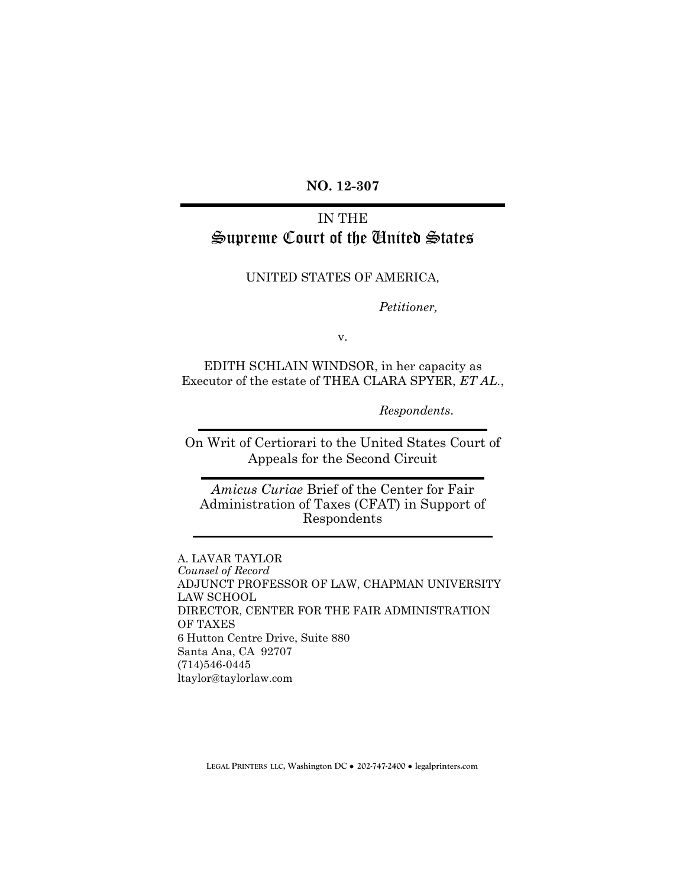**NO. 12-307**

# IN THE Supreme Court of the United States

UNITED STATES OF AMERICA*,*

*Petitioner,* 

v.

EDITH SCHLAIN WINDSOR, in her capacity as Executor of the estate of THEA CLARA SPYER, *ET AL.*,

*Respondents*.

On Writ of Certiorari to the United States Court of Appeals for the Second Circuit

*Amicus Curiae* Brief of the Center for Fair Administration of Taxes (CFAT) in Support of Respondents

A. LAVAR TAYLOR *Counsel of Record*  ADJUNCT PROFESSOR OF LAW, CHAPMAN UNIVERSITY LAW SCHOOL DIRECTOR, CENTER FOR THE FAIR ADMINISTRATION OF TAXES 6 Hutton Centre Drive, Suite 880 Santa Ana, CA 92707 (714)546-0445 ltaylor@taylorlaw.com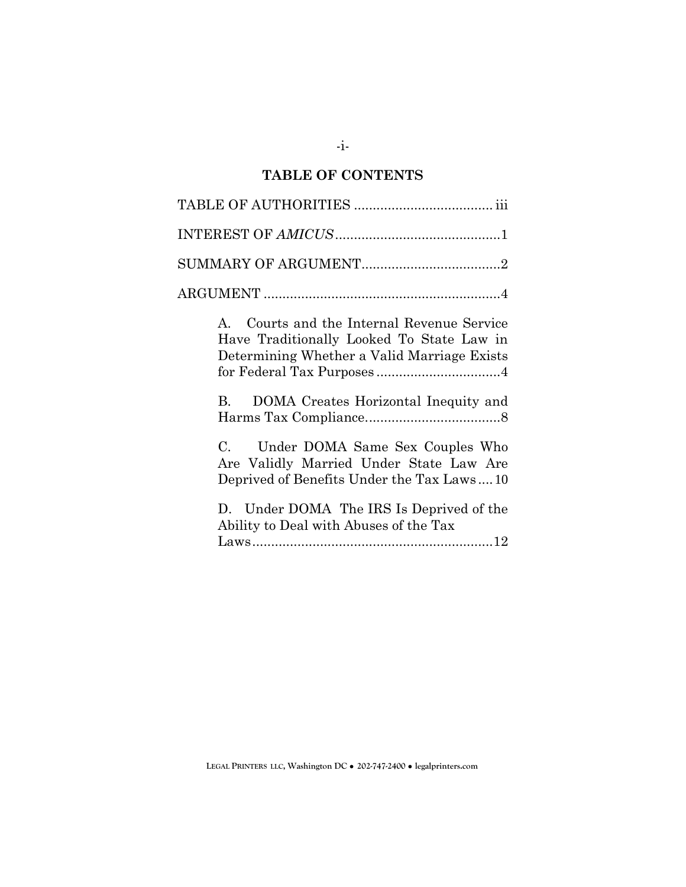# **TABLE OF CONTENTS**

| Courts and the Internal Revenue Service<br>$\mathbf{A}$<br>Have Traditionally Looked To State Law in<br>Determining Whether a Valid Marriage Exists |
|-----------------------------------------------------------------------------------------------------------------------------------------------------|
| DOMA Creates Horizontal Inequity and<br><b>B.</b>                                                                                                   |
| Under DOMA Same Sex Couples Who<br>C.<br>Are Validly Married Under State Law Are<br>Deprived of Benefits Under the Tax Laws10                       |
| D. Under DOMA The IRS Is Deprived of the<br>Ability to Deal with Abuses of the Tax                                                                  |

**LEGAL PRINTERS LLC, Washington DC** ! **202-747-2400** ! **legalprinters.com**

-i-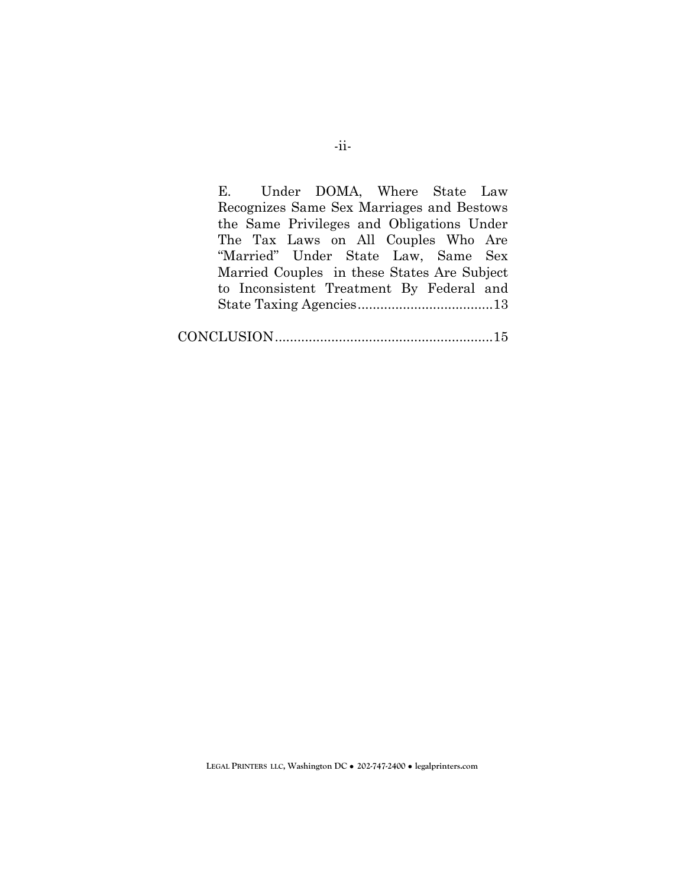E. Under DOMA, Where State Law Recognizes Same Sex Marriages and Bestows the Same Privileges and Obligations Under The Tax Laws on All Couples Who Are "Married" Under State Law, Same Sex Married Couples in these States Are Subject to Inconsistent Treatment By Federal and State Taxing Agencies ....................................13 CONCLUSION ..........................................................15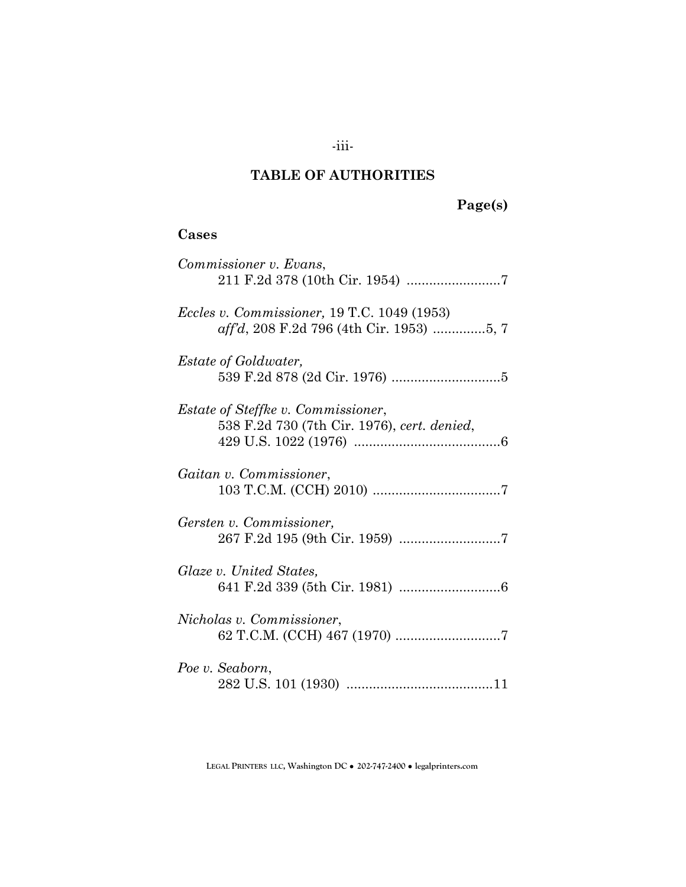## **TABLE OF AUTHORITIES**

# **Page(s)**

### **Cases**

|                 | Commissioner v. Evans,                                                                                 |
|-----------------|--------------------------------------------------------------------------------------------------------|
|                 | <i>Eccles v. Commissioner,</i> 19 T.C. 1049 (1953)<br><i>aff'd</i> , 208 F.2d 796 (4th Cir. 1953) 5, 7 |
|                 | <i>Estate of Goldwater,</i>                                                                            |
|                 | <i>Estate of Steffke v. Commissioner,</i><br>538 F.2d 730 (7th Cir. 1976), cert. denied,               |
|                 | Gaitan v. Commissioner,                                                                                |
|                 | Gersten v. Commissioner,                                                                               |
|                 | Glaze v. United States,                                                                                |
|                 | Nicholas v. Commissioner,                                                                              |
| Poe v. Seaborn, |                                                                                                        |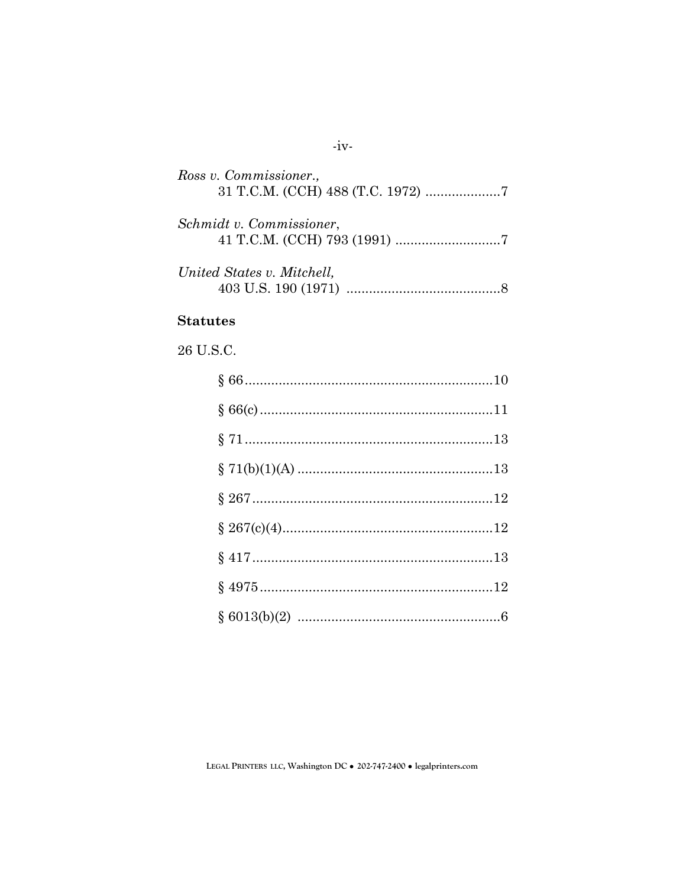| Ross v. Commissioner.,     |
|----------------------------|
| Schmidt v. Commissioner,   |
| United States v. Mitchell, |

#### **Statutes**

26 U.S.C.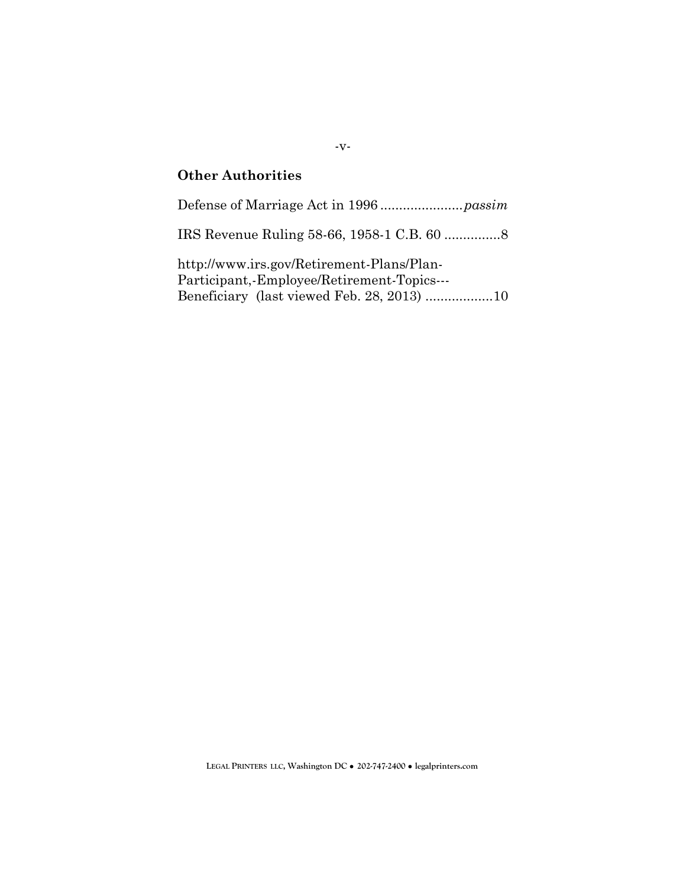## **Other Authorities**

Defense of Marriage Act in 1996 ......................*passim*

IRS Revenue Ruling 58-66, 1958-1 C.B. 60 ...............8

http://www.irs.gov/Retirement-Plans/Plan-Participant,-Employee/Retirement-Topics--- Beneficiary (last viewed Feb. 28, 2013) ..................10

#### -v-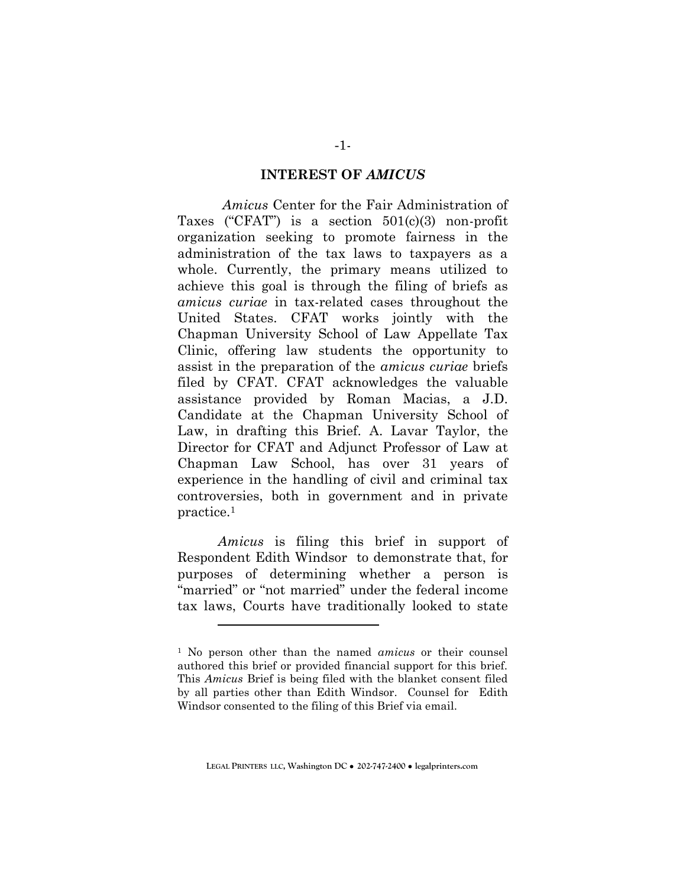#### **INTEREST OF** *AMICUS*

*Amicus* Center for the Fair Administration of Taxes ("CFAT") is a section 501(c)(3) non-profit organization seeking to promote fairness in the administration of the tax laws to taxpayers as a whole. Currently, the primary means utilized to achieve this goal is through the filing of briefs as *amicus curiae* in tax-related cases throughout the United States. CFAT works jointly with the Chapman University School of Law Appellate Tax Clinic, offering law students the opportunity to assist in the preparation of the *amicus curiae* briefs filed by CFAT. CFAT acknowledges the valuable assistance provided by Roman Macias, a J.D. Candidate at the Chapman University School of Law, in drafting this Brief. A. Lavar Taylor, the Director for CFAT and Adjunct Professor of Law at Chapman Law School, has over 31 years of experience in the handling of civil and criminal tax controversies, both in government and in private practice.<sup>1</sup>

*Amicus* is filing this brief in support of Respondent Edith Windsor to demonstrate that, for purposes of determining whether a person is "married" or "not married" under the federal income tax laws, Courts have traditionally looked to state

 $\overline{a}$ 

<sup>1</sup> No person other than the named *amicus* or their counsel authored this brief or provided financial support for this brief. This *Amicus* Brief is being filed with the blanket consent filed by all parties other than Edith Windsor. Counsel for Edith Windsor consented to the filing of this Brief via email.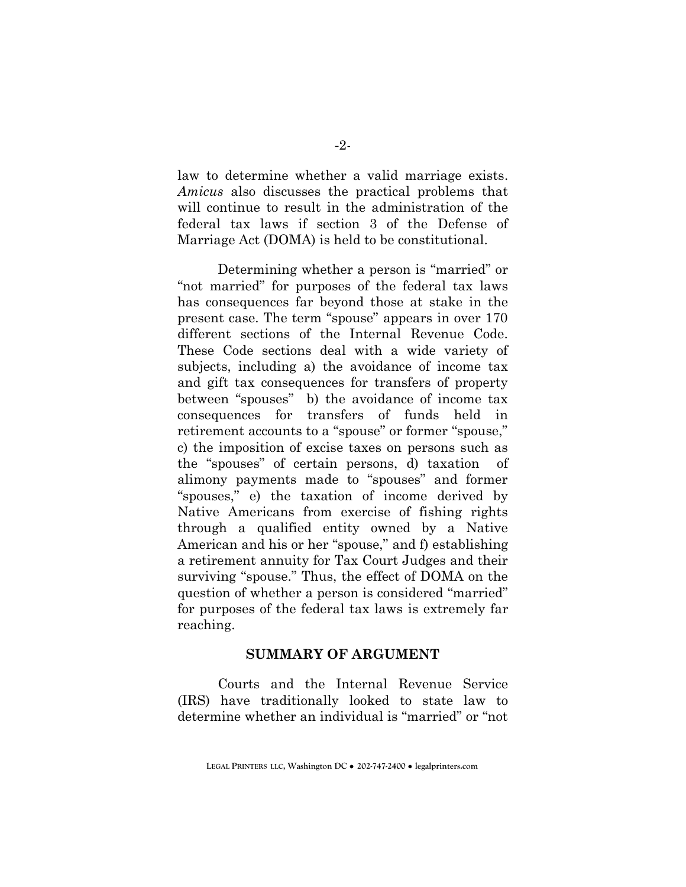law to determine whether a valid marriage exists. *Amicus* also discusses the practical problems that will continue to result in the administration of the federal tax laws if section 3 of the Defense of Marriage Act (DOMA) is held to be constitutional.

Determining whether a person is "married" or "not married" for purposes of the federal tax laws has consequences far beyond those at stake in the present case. The term "spouse" appears in over 170 different sections of the Internal Revenue Code. These Code sections deal with a wide variety of subjects, including a) the avoidance of income tax and gift tax consequences for transfers of property between "spouses" b) the avoidance of income tax consequences for transfers of funds held in retirement accounts to a "spouse" or former "spouse," c) the imposition of excise taxes on persons such as the "spouses" of certain persons, d) taxation of alimony payments made to "spouses" and former "spouses," e) the taxation of income derived by Native Americans from exercise of fishing rights through a qualified entity owned by a Native American and his or her "spouse," and f) establishing a retirement annuity for Tax Court Judges and their surviving "spouse." Thus, the effect of DOMA on the question of whether a person is considered "married" for purposes of the federal tax laws is extremely far reaching.

### **SUMMARY OF ARGUMENT**

Courts and the Internal Revenue Service (IRS) have traditionally looked to state law to determine whether an individual is "married" or "not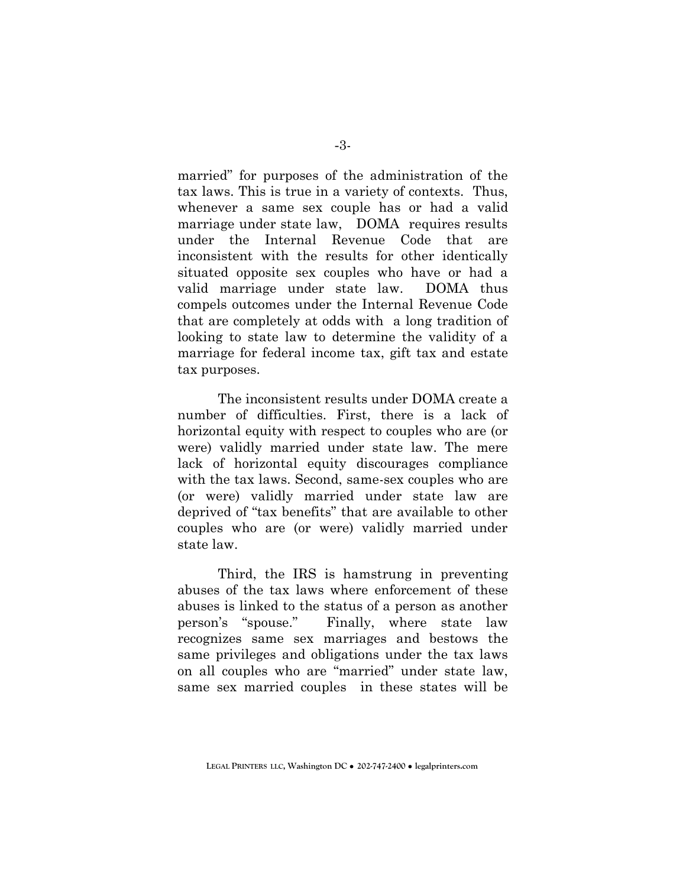married" for purposes of the administration of the tax laws. This is true in a variety of contexts. Thus, whenever a same sex couple has or had a valid marriage under state law. DOMA requires results under the Internal Revenue Code that are inconsistent with the results for other identically situated opposite sex couples who have or had a valid marriage under state law. DOMA thus compels outcomes under the Internal Revenue Code that are completely at odds with a long tradition of looking to state law to determine the validity of a marriage for federal income tax, gift tax and estate tax purposes.

The inconsistent results under DOMA create a number of difficulties. First, there is a lack of horizontal equity with respect to couples who are (or were) validly married under state law. The mere lack of horizontal equity discourages compliance with the tax laws. Second, same-sex couples who are (or were) validly married under state law are deprived of "tax benefits" that are available to other couples who are (or were) validly married under state law.

Third, the IRS is hamstrung in preventing abuses of the tax laws where enforcement of these abuses is linked to the status of a person as another person's "spouse." Finally, where state law recognizes same sex marriages and bestows the same privileges and obligations under the tax laws on all couples who are "married" under state law, same sex married couples in these states will be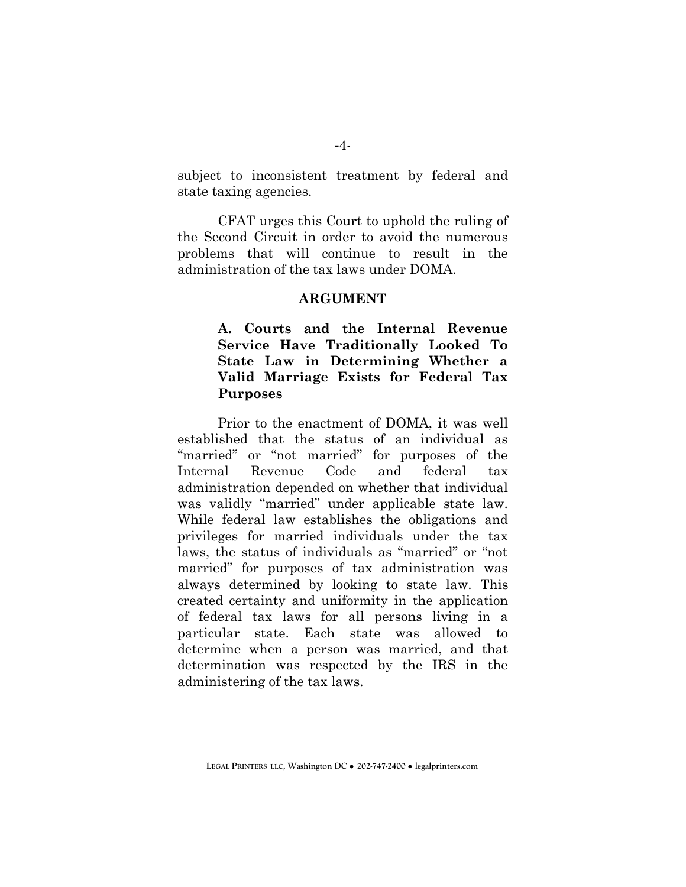subject to inconsistent treatment by federal and state taxing agencies.

CFAT urges this Court to uphold the ruling of the Second Circuit in order to avoid the numerous problems that will continue to result in the administration of the tax laws under DOMA.

#### **ARGUMENT**

**A. Courts and the Internal Revenue Service Have Traditionally Looked To State Law in Determining Whether a Valid Marriage Exists for Federal Tax Purposes** 

Prior to the enactment of DOMA, it was well established that the status of an individual as "married" or "not married" for purposes of the Internal Revenue Code and federal tax administration depended on whether that individual was validly "married" under applicable state law. While federal law establishes the obligations and privileges for married individuals under the tax laws, the status of individuals as "married" or "not married" for purposes of tax administration was always determined by looking to state law. This created certainty and uniformity in the application of federal tax laws for all persons living in a particular state. Each state was allowed to determine when a person was married, and that determination was respected by the IRS in the administering of the tax laws.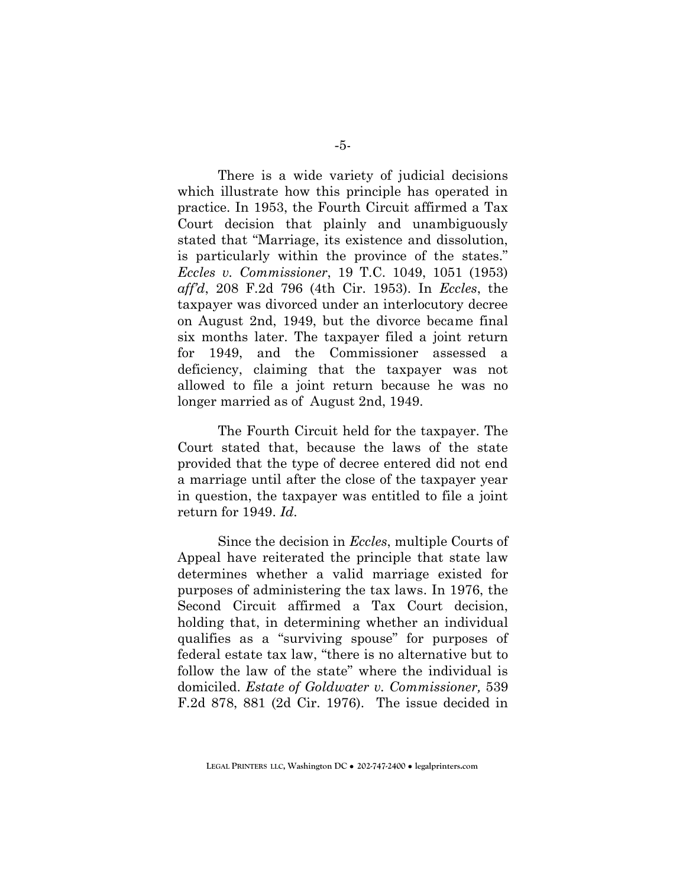There is a wide variety of judicial decisions which illustrate how this principle has operated in practice. In 1953, the Fourth Circuit affirmed a Tax Court decision that plainly and unambiguously stated that "Marriage, its existence and dissolution, is particularly within the province of the states." *Eccles v. Commissioner*, 19 T.C. 1049, 1051 (1953) *aff'd*, 208 F.2d 796 (4th Cir. 1953). In *Eccles*, the taxpayer was divorced under an interlocutory decree on August 2nd, 1949, but the divorce became final six months later. The taxpayer filed a joint return for 1949, and the Commissioner assessed a deficiency, claiming that the taxpayer was not allowed to file a joint return because he was no longer married as of August 2nd, 1949.

The Fourth Circuit held for the taxpayer. The Court stated that, because the laws of the state provided that the type of decree entered did not end a marriage until after the close of the taxpayer year in question, the taxpayer was entitled to file a joint return for 1949. *Id*.

Since the decision in *Eccles*, multiple Courts of Appeal have reiterated the principle that state law determines whether a valid marriage existed for purposes of administering the tax laws. In 1976, the Second Circuit affirmed a Tax Court decision, holding that, in determining whether an individual qualifies as a "surviving spouse" for purposes of federal estate tax law, "there is no alternative but to follow the law of the state" where the individual is domiciled. *Estate of Goldwater v. Commissioner,* 539 F.2d 878, 881 (2d Cir. 1976). The issue decided in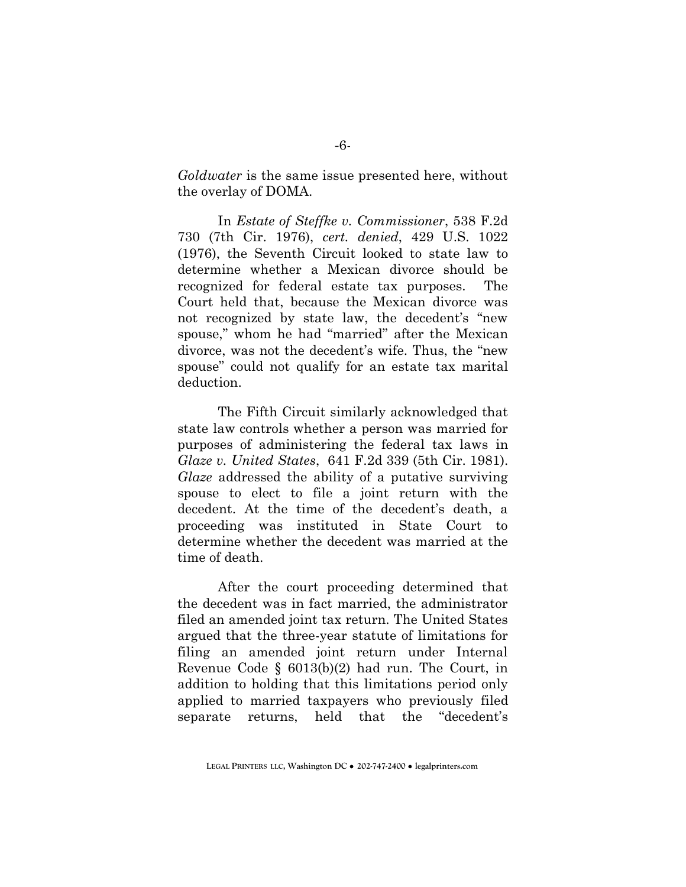*Goldwater* is the same issue presented here, without the overlay of DOMA.

In *Estate of Steffke v. Commissioner*, 538 F.2d 730 (7th Cir. 1976), *cert. denied*, 429 U.S. 1022 (1976), the Seventh Circuit looked to state law to determine whether a Mexican divorce should be recognized for federal estate tax purposes. The Court held that, because the Mexican divorce was not recognized by state law, the decedent's "new spouse," whom he had "married" after the Mexican divorce, was not the decedent's wife. Thus, the "new spouse" could not qualify for an estate tax marital deduction.

The Fifth Circuit similarly acknowledged that state law controls whether a person was married for purposes of administering the federal tax laws in *Glaze v. United States*, 641 F.2d 339 (5th Cir. 1981). *Glaze* addressed the ability of a putative surviving spouse to elect to file a joint return with the decedent. At the time of the decedent's death, a proceeding was instituted in State Court to determine whether the decedent was married at the time of death.

After the court proceeding determined that the decedent was in fact married, the administrator filed an amended joint tax return. The United States argued that the three-year statute of limitations for filing an amended joint return under Internal Revenue Code § 6013(b)(2) had run. The Court, in addition to holding that this limitations period only applied to married taxpayers who previously filed separate returns, held that the "decedent's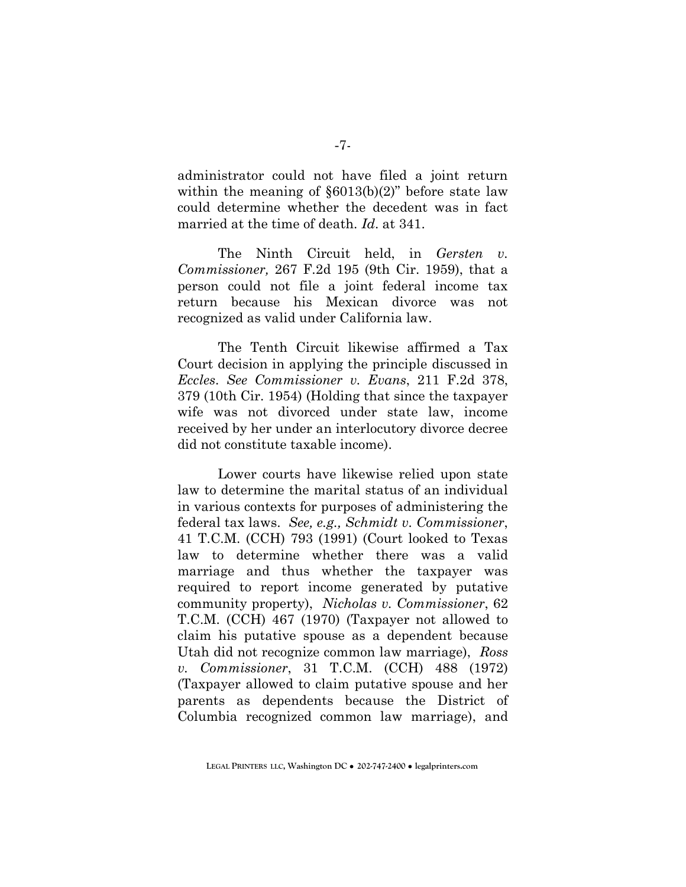administrator could not have filed a joint return within the meaning of §6013(b)(2)" before state law could determine whether the decedent was in fact married at the time of death. *Id*. at 341.

The Ninth Circuit held, in *Gersten v. Commissioner,* 267 F.2d 195 (9th Cir. 1959), that a person could not file a joint federal income tax return because his Mexican divorce was not recognized as valid under California law.

The Tenth Circuit likewise affirmed a Tax Court decision in applying the principle discussed in *Eccles*. *See Commissioner v. Evans*, 211 F.2d 378, 379 (10th Cir. 1954) (Holding that since the taxpayer wife was not divorced under state law, income received by her under an interlocutory divorce decree did not constitute taxable income).

Lower courts have likewise relied upon state law to determine the marital status of an individual in various contexts for purposes of administering the federal tax laws. *See, e.g., Schmidt v. Commissioner*, 41 T.C.M. (CCH) 793 (1991) (Court looked to Texas law to determine whether there was a valid marriage and thus whether the taxpayer was required to report income generated by putative community property), *Nicholas v. Commissioner*, 62 T.C.M. (CCH) 467 (1970) (Taxpayer not allowed to claim his putative spouse as a dependent because Utah did not recognize common law marriage), *Ross v. Commissioner*, 31 T.C.M. (CCH) 488 (1972) (Taxpayer allowed to claim putative spouse and her parents as dependents because the District of Columbia recognized common law marriage), and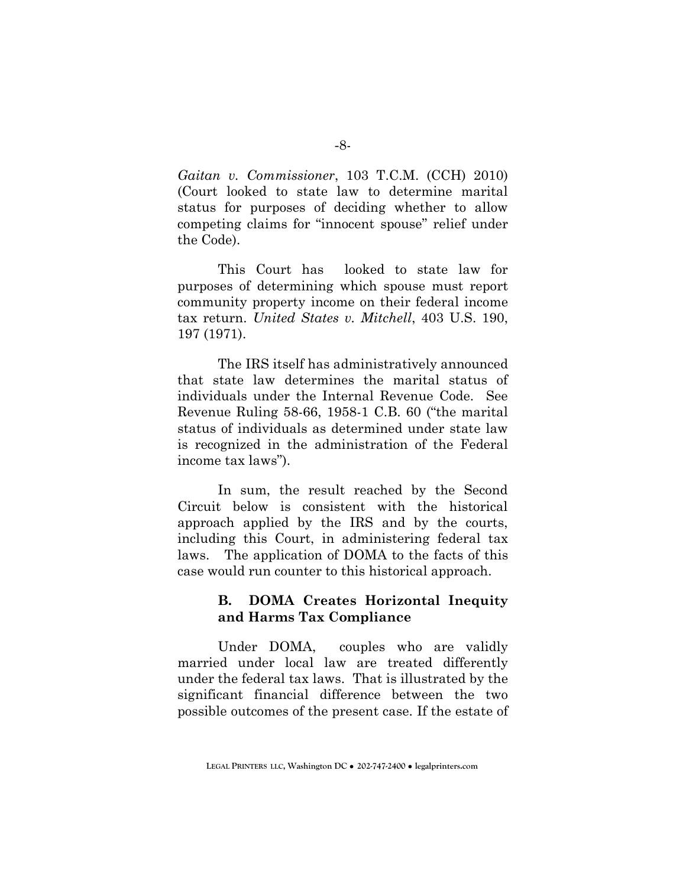*Gaitan v. Commissioner*, 103 T.C.M. (CCH) 2010) (Court looked to state law to determine marital status for purposes of deciding whether to allow competing claims for "innocent spouse" relief under the Code).

This Court has looked to state law for purposes of determining which spouse must report community property income on their federal income tax return. *United States v. Mitchell*, 403 U.S. 190, 197 (1971).

The IRS itself has administratively announced that state law determines the marital status of individuals under the Internal Revenue Code. See Revenue Ruling 58-66, 1958-1 C.B. 60 ("the marital status of individuals as determined under state law is recognized in the administration of the Federal income tax laws").

In sum, the result reached by the Second Circuit below is consistent with the historical approach applied by the IRS and by the courts, including this Court, in administering federal tax laws. The application of DOMA to the facts of this case would run counter to this historical approach.

### **B. DOMA Creates Horizontal Inequity and Harms Tax Compliance**

Under DOMA, couples who are validly married under local law are treated differently under the federal tax laws. That is illustrated by the significant financial difference between the two possible outcomes of the present case. If the estate of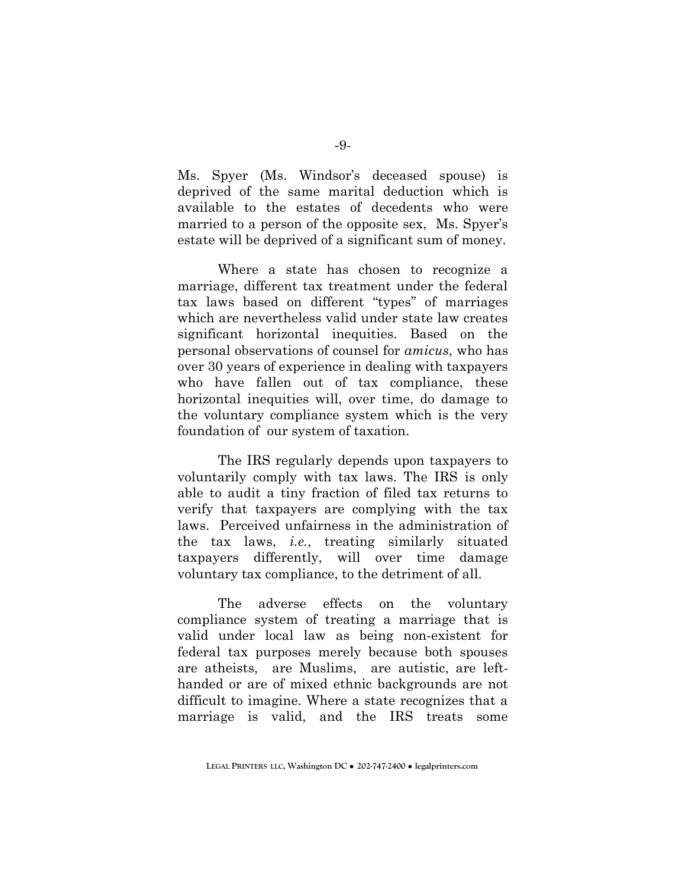Ms. Spyer (Ms. Windsor's deceased spouse) is deprived of the same marital deduction which is available to the estates of decedents who were married to a person of the opposite sex, Ms. Spyer's estate will be deprived of a significant sum of money.

Where a state has chosen to recognize a marriage, different tax treatment under the federal tax laws based on different "types" of marriages which are nevertheless valid under state law creates significant horizontal inequities. Based on the personal observations of counsel for *amicus*, who has over 30 years of experience in dealing with taxpayers who have fallen out of tax compliance, these horizontal inequities will, over time, do damage to the voluntary compliance system which is the very foundation of our system of taxation.

The IRS regularly depends upon taxpayers to voluntarily comply with tax laws. The IRS is only able to audit a tiny fraction of filed tax returns to verify that taxpayers are complying with the tax laws. Perceived unfairness in the administration of the tax laws, *i.e.*, treating similarly situated taxpayers differently, will over time damage voluntary tax compliance, to the detriment of all.

The adverse effects on the voluntary compliance system of treating a marriage that is valid under local law as being non-existent for federal tax purposes merely because both spouses are atheists, are Muslims, are autistic, are lefthanded or are of mixed ethnic backgrounds are not difficult to imagine. Where a state recognizes that a marriage is valid, and the IRS treats some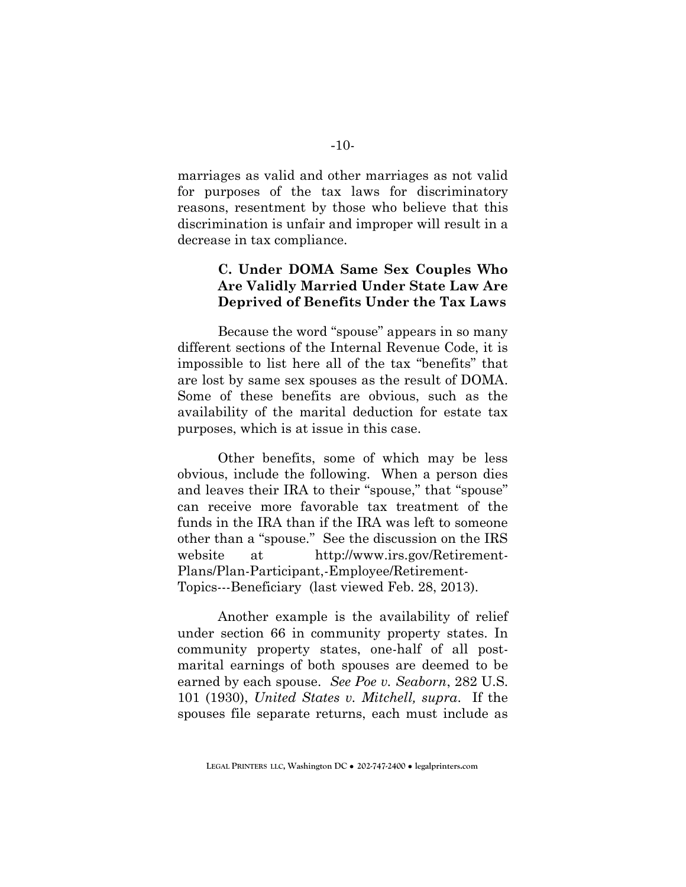marriages as valid and other marriages as not valid for purposes of the tax laws for discriminatory reasons, resentment by those who believe that this discrimination is unfair and improper will result in a decrease in tax compliance.

## **C. Under DOMA Same Sex Couples Who Are Validly Married Under State Law Are Deprived of Benefits Under the Tax Laws**

Because the word "spouse" appears in so many different sections of the Internal Revenue Code, it is impossible to list here all of the tax "benefits" that are lost by same sex spouses as the result of DOMA. Some of these benefits are obvious, such as the availability of the marital deduction for estate tax purposes, which is at issue in this case.

Other benefits, some of which may be less obvious, include the following. When a person dies and leaves their IRA to their "spouse," that "spouse" can receive more favorable tax treatment of the funds in the IRA than if the IRA was left to someone other than a "spouse." See the discussion on the IRS website at http://www.irs.gov/Retirement-Plans/Plan-Participant,-Employee/Retirement-Topics---Beneficiary (last viewed Feb. 28, 2013).

Another example is the availability of relief under section 66 in community property states. In community property states, one-half of all postmarital earnings of both spouses are deemed to be earned by each spouse. *See Poe v. Seaborn*, 282 U.S. 101 (1930), *United States v. Mitchell, supra*. If the spouses file separate returns, each must include as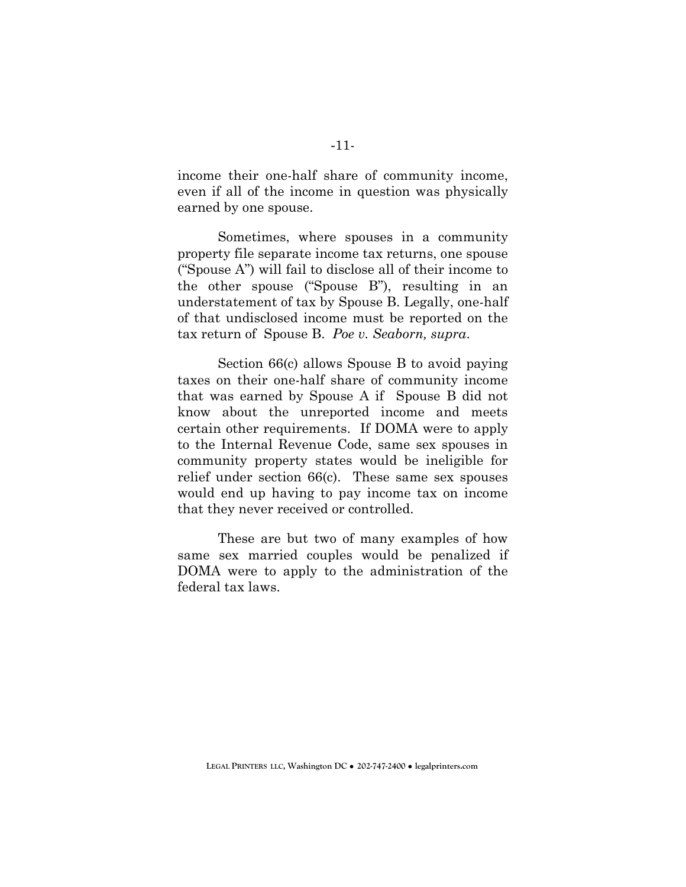income their one-half share of community income, even if all of the income in question was physically earned by one spouse.

Sometimes, where spouses in a community property file separate income tax returns, one spouse ("Spouse A") will fail to disclose all of their income to the other spouse ("Spouse B"), resulting in an understatement of tax by Spouse B. Legally, one-half of that undisclosed income must be reported on the tax return of Spouse B. *Poe v. Seaborn, supra*.

Section 66(c) allows Spouse B to avoid paying taxes on their one-half share of community income that was earned by Spouse A if Spouse B did not know about the unreported income and meets certain other requirements. If DOMA were to apply to the Internal Revenue Code, same sex spouses in community property states would be ineligible for relief under section 66(c). These same sex spouses would end up having to pay income tax on income that they never received or controlled.

These are but two of many examples of how same sex married couples would be penalized if DOMA were to apply to the administration of the federal tax laws.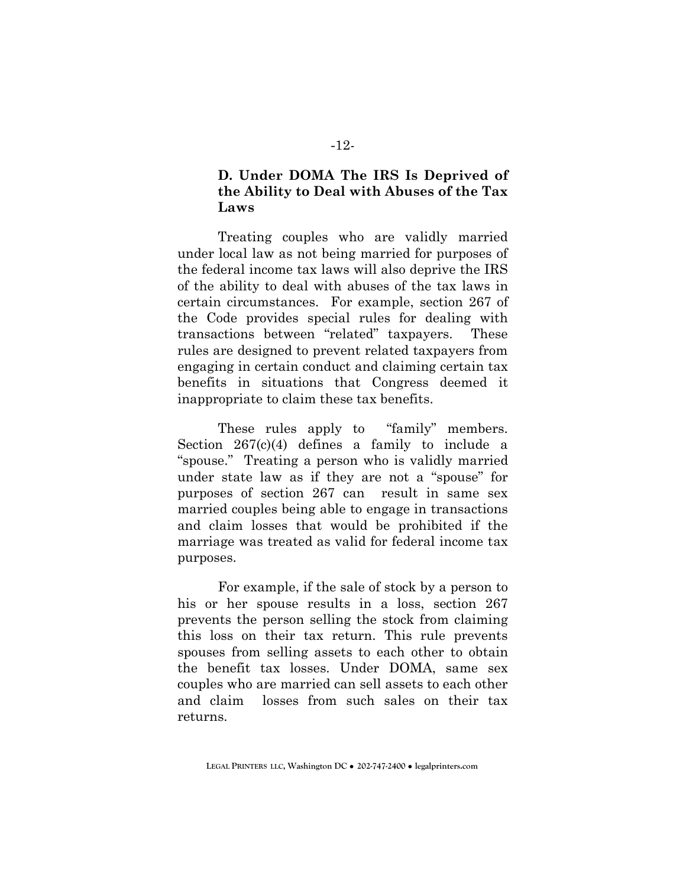## **D. Under DOMA The IRS Is Deprived of the Ability to Deal with Abuses of the Tax Laws**

Treating couples who are validly married under local law as not being married for purposes of the federal income tax laws will also deprive the IRS of the ability to deal with abuses of the tax laws in certain circumstances. For example, section 267 of the Code provides special rules for dealing with transactions between "related" taxpayers. These rules are designed to prevent related taxpayers from engaging in certain conduct and claiming certain tax benefits in situations that Congress deemed it inappropriate to claim these tax benefits.

These rules apply to "family" members. Section 267(c)(4) defines a family to include a "spouse." Treating a person who is validly married under state law as if they are not a "spouse" for purposes of section 267 can result in same sex married couples being able to engage in transactions and claim losses that would be prohibited if the marriage was treated as valid for federal income tax purposes.

For example, if the sale of stock by a person to his or her spouse results in a loss, section 267 prevents the person selling the stock from claiming this loss on their tax return. This rule prevents spouses from selling assets to each other to obtain the benefit tax losses. Under DOMA, same sex couples who are married can sell assets to each other and claim losses from such sales on their tax returns.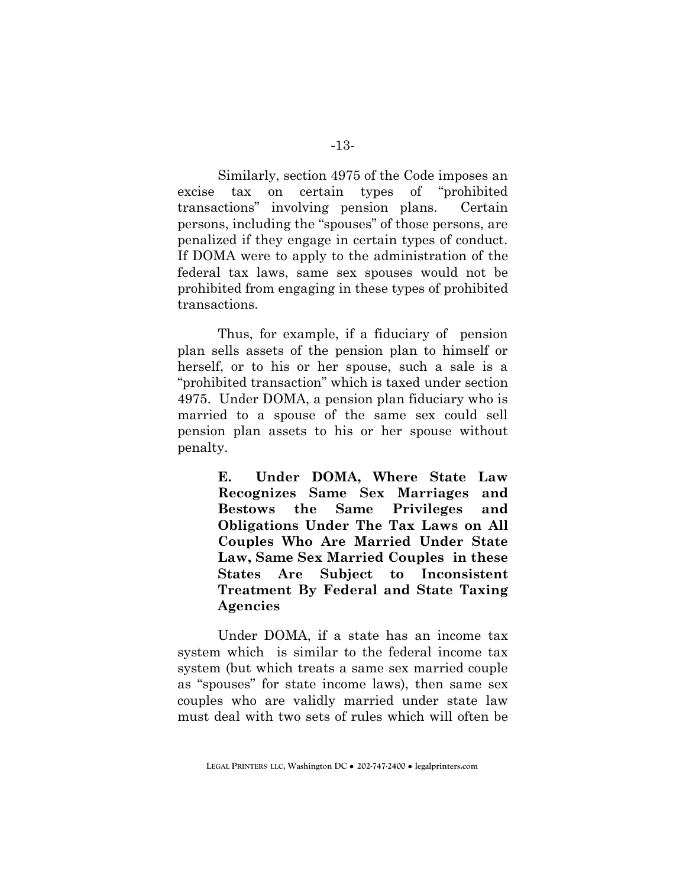Similarly, section 4975 of the Code imposes an excise tax on certain types of "prohibited transactions" involving pension plans. Certain persons, including the "spouses" of those persons, are penalized if they engage in certain types of conduct. If DOMA were to apply to the administration of the federal tax laws, same sex spouses would not be prohibited from engaging in these types of prohibited transactions.

Thus, for example, if a fiduciary of pension plan sells assets of the pension plan to himself or herself, or to his or her spouse, such a sale is a "prohibited transaction" which is taxed under section 4975. Under DOMA, a pension plan fiduciary who is married to a spouse of the same sex could sell pension plan assets to his or her spouse without penalty.

> **E. Under DOMA, Where State Law Recognizes Same Sex Marriages and Bestows the Same Privileges and Obligations Under The Tax Laws on All Couples Who Are Married Under State Law, Same Sex Married Couples in these States Are Subject to Inconsistent Treatment By Federal and State Taxing Agencies**

Under DOMA, if a state has an income tax system which is similar to the federal income tax system (but which treats a same sex married couple as "spouses" for state income laws), then same sex couples who are validly married under state law must deal with two sets of rules which will often be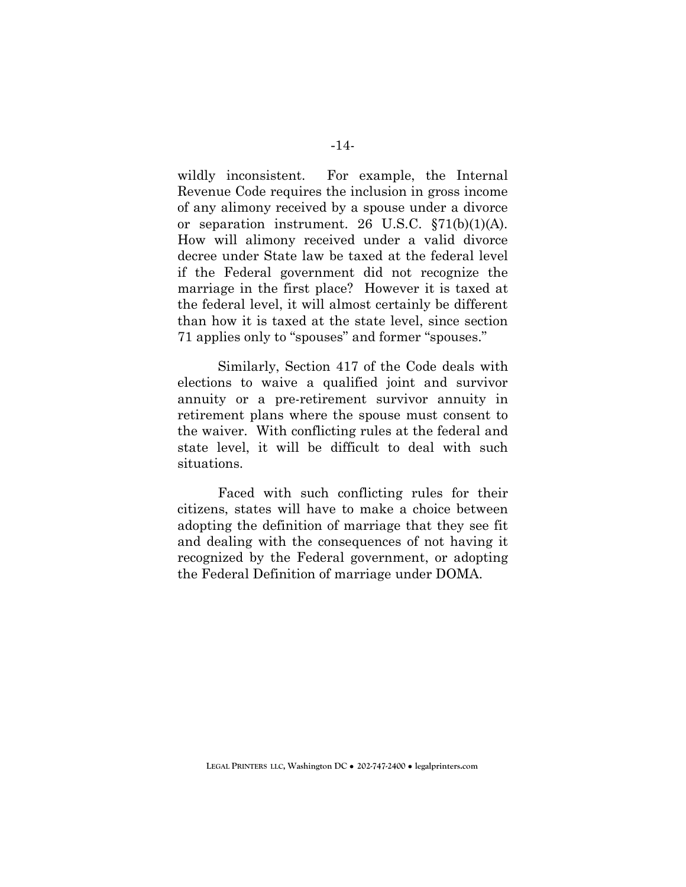wildly inconsistent. For example, the Internal Revenue Code requires the inclusion in gross income of any alimony received by a spouse under a divorce or separation instrument. 26 U.S.C. §71(b)(1)(A). How will alimony received under a valid divorce decree under State law be taxed at the federal level if the Federal government did not recognize the marriage in the first place? However it is taxed at the federal level, it will almost certainly be different than how it is taxed at the state level, since section 71 applies only to "spouses" and former "spouses."

Similarly, Section 417 of the Code deals with elections to waive a qualified joint and survivor annuity or a pre-retirement survivor annuity in retirement plans where the spouse must consent to the waiver. With conflicting rules at the federal and state level, it will be difficult to deal with such situations.

Faced with such conflicting rules for their citizens, states will have to make a choice between adopting the definition of marriage that they see fit and dealing with the consequences of not having it recognized by the Federal government, or adopting the Federal Definition of marriage under DOMA.